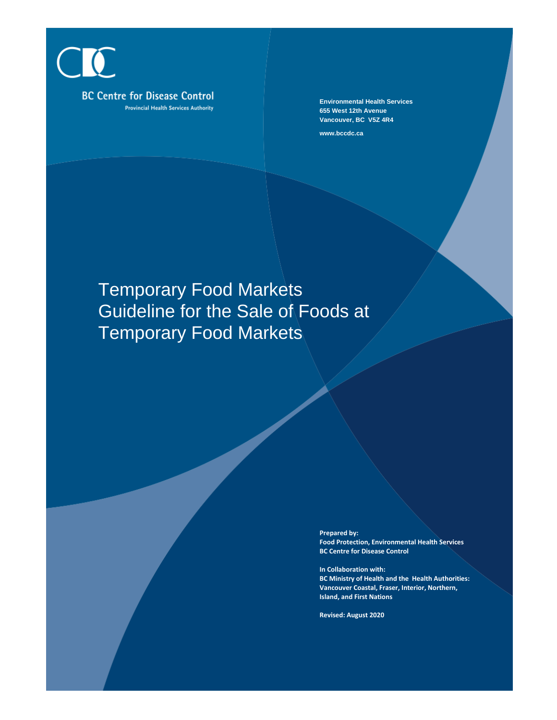CIC **BC Centre for Disease Control Provincial Health Services Authority** 

**Environmental Health Services 655 West 12th Avenue Vancouver, BC V5Z 4R4**

**www.bccdc.ca**

# Temporary Food Markets Guideline for the Sale of Foods at Temporary Food Markets

**Prepared by: Food Protection, Environmental Health Services BC Centre for Disease Control**

**In Collaboration with: BC Ministry of Health and the Health Authorities: Vancouver Coastal, Fraser, Interior, Northern, Island, and First Nations**

**Revised: August 2020**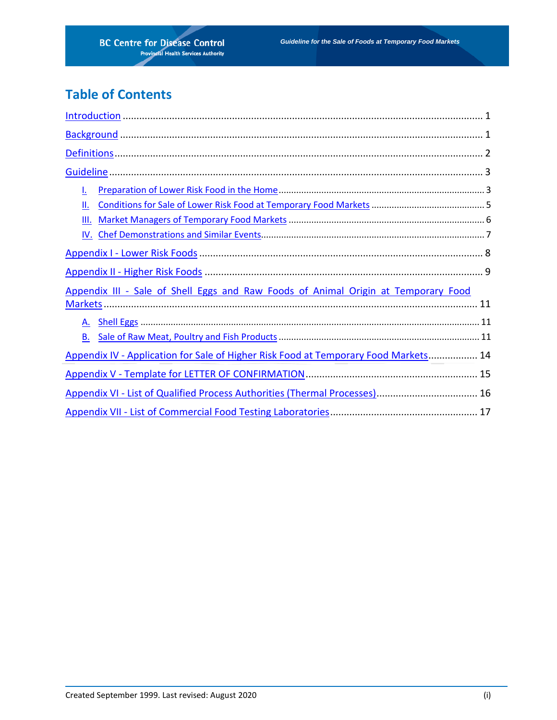# **Table of Contents**

| ı.                                                                                  |  |  |  |
|-------------------------------------------------------------------------------------|--|--|--|
| Ш.                                                                                  |  |  |  |
| III.                                                                                |  |  |  |
|                                                                                     |  |  |  |
|                                                                                     |  |  |  |
|                                                                                     |  |  |  |
| Appendix III - Sale of Shell Eggs and Raw Foods of Animal Origin at Temporary Food  |  |  |  |
|                                                                                     |  |  |  |
|                                                                                     |  |  |  |
| <b>B.</b>                                                                           |  |  |  |
| Appendix IV - Application for Sale of Higher Risk Food at Temporary Food Markets 14 |  |  |  |
|                                                                                     |  |  |  |
|                                                                                     |  |  |  |
|                                                                                     |  |  |  |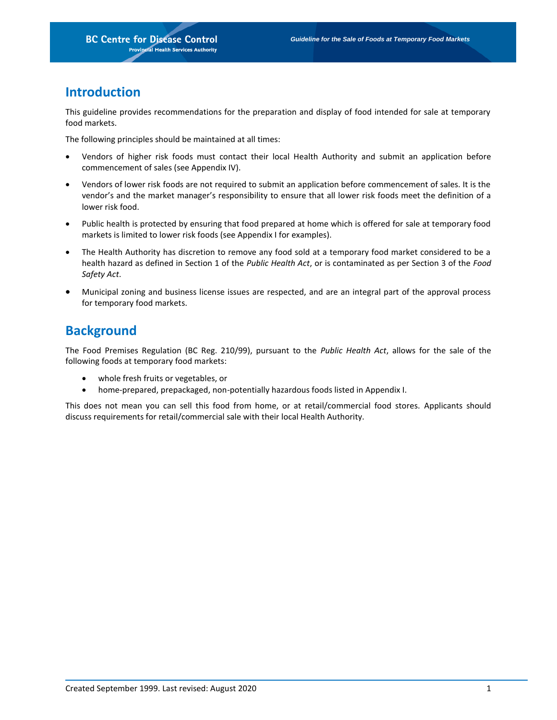# **Introduction**

This guideline provides recommendations for the preparation and display of food intended for sale at temporary food markets.

The following principles should be maintained at all times:

- Vendors of higher risk foods must contact their local Health Authority and submit an application before commencement of sales (see Appendix IV).
- Vendors of lower risk foods are not required to submit an application before commencement of sales. It is the vendor's and the market manager's responsibility to ensure that all lower risk foods meet the definition of a lower risk food.
- Public health is protected by ensuring that food prepared at home which is offered for sale at temporary food markets is limited to lower risk foods (see Appendix I for examples).
- The Health Authority has discretion to remove any food sold at a temporary food market considered to be a health hazard as defined in Section 1 of the *Public Health Act*, or is contaminated as per Section 3 of the *Food Safety Act*.
- Municipal zoning and business license issues are respected, and are an integral part of the approval process for temporary food markets.

# <span id="page-2-0"></span>**Background**

The Food Premises Regulation (BC Reg. 210/99), pursuant to the *Public Health Act*, allows for the sale of the following foods at temporary food markets:

- whole fresh fruits or vegetables, or
- home-prepared, prepackaged, non-potentially hazardous foods listed in Appendix I.

This does not mean you can sell this food from home, or at retail/commercial food stores. Applicants should discuss requirements for retail/commercial sale with their local Health Authority.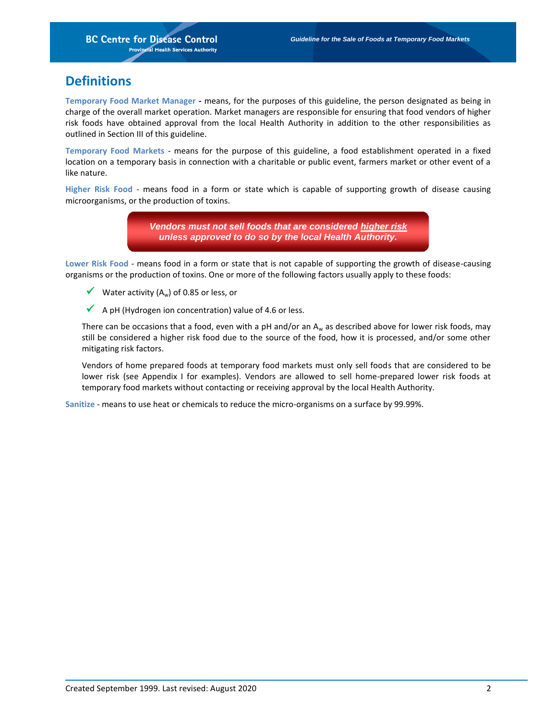# <span id="page-3-0"></span>**Definitions**

**Temporary Food Market Manager -** means, for the purposes of this guideline, the person designated as being in charge of the overall market operation. Market managers are responsible for ensuring that food vendors of higher risk foods have obtained approval from the local Health Authority in addition to the other responsibilities as outlined in Section III of this guideline.

**Temporary Food Markets** - means for the purpose of this guideline, a food establishment operated in a fixed location on a temporary basis in connection with a charitable or public event, farmers market or other event of a like nature.

**Higher Risk Food** - means food in a form or state which is capable of supporting growth of disease causing microorganisms, or the production of toxins.

> *Vendors must not sell foods that are considered higher risk unless approved to do so by the local Health Authority.*

**Lower Risk Food** - means food in a form or state that is not capable of supporting the growth of disease-causing organisms or the production of toxins. One or more of the following factors usually apply to these foods:

- Water activity (A<sub>w</sub>) of 0.85 or less, or
- $\blacklozenge$  A pH (Hydrogen ion concentration) value of 4.6 or less.

There can be occasions that a food, even with a pH and/or an  $A_w$  as described above for lower risk foods, may still be considered a higher risk food due to the source of the food, how it is processed, and/or some other mitigating risk factors.

Vendors of home prepared foods at temporary food markets must only sell foods that are considered to be lower risk (see Appendix I for examples). Vendors are allowed to sell home-prepared lower risk foods at temporary food markets without contacting or receiving approval by the local Health Authority.

**Sanitize** - means to use heat or chemicals to reduce the micro-organisms on a surface by 99.99%.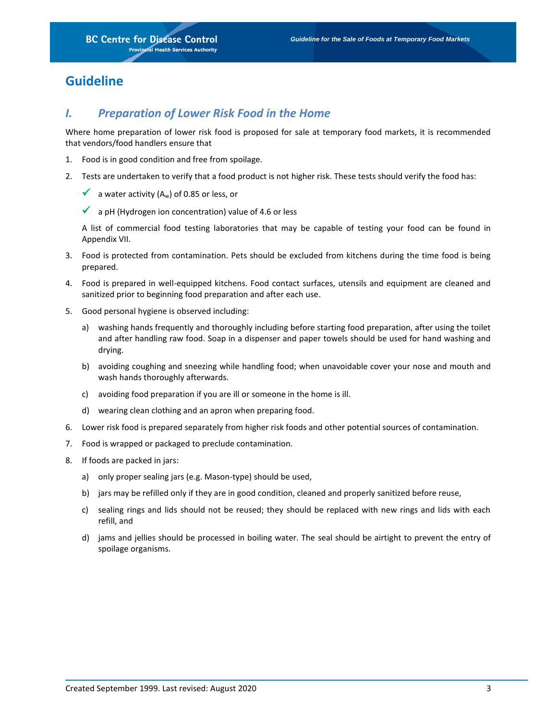# <span id="page-4-1"></span><span id="page-4-0"></span>**Guideline**

### *I. Preparation of Lower Risk Food in the Home*

Where home preparation of lower risk food is proposed for sale at temporary food markets, it is recommended that vendors/food handlers ensure that

- 1. Food is in good condition and free from spoilage.
- 2. Tests are undertaken to verify that a food product is not higher risk. These tests should verify the food has:
	- a water activity  $(A_w)$  of 0.85 or less, or
	- $\blacktriangleright$  a pH (Hydrogen ion concentration) value of 4.6 or less

A list of commercial food testing laboratories that may be capable of testing your food can be found in Appendix VII.

- 3. Food is protected from contamination. Pets should be excluded from kitchens during the time food is being prepared.
- 4. Food is prepared in well-equipped kitchens. Food contact surfaces, utensils and equipment are cleaned and sanitized prior to beginning food preparation and after each use.
- 5. Good personal hygiene is observed including:
	- a) washing hands frequently and thoroughly including before starting food preparation, after using the toilet and after handling raw food. Soap in a dispenser and paper towels should be used for hand washing and drying.
	- b) avoiding coughing and sneezing while handling food; when unavoidable cover your nose and mouth and wash hands thoroughly afterwards.
	- c) avoiding food preparation if you are ill or someone in the home is ill.
	- d) wearing clean clothing and an apron when preparing food.
- 6. Lower risk food is prepared separately from higher risk foods and other potential sources of contamination.
- 7. Food is wrapped or packaged to preclude contamination.
- 8. If foods are packed in jars:
	- a) only proper sealing jars (e.g. Mason-type) should be used,
	- b) jars may be refilled only if they are in good condition, cleaned and properly sanitized before reuse,
	- c) sealing rings and lids should not be reused; they should be replaced with new rings and lids with each refill, and
	- d) jams and jellies should be processed in boiling water. The seal should be airtight to prevent the entry of spoilage organisms.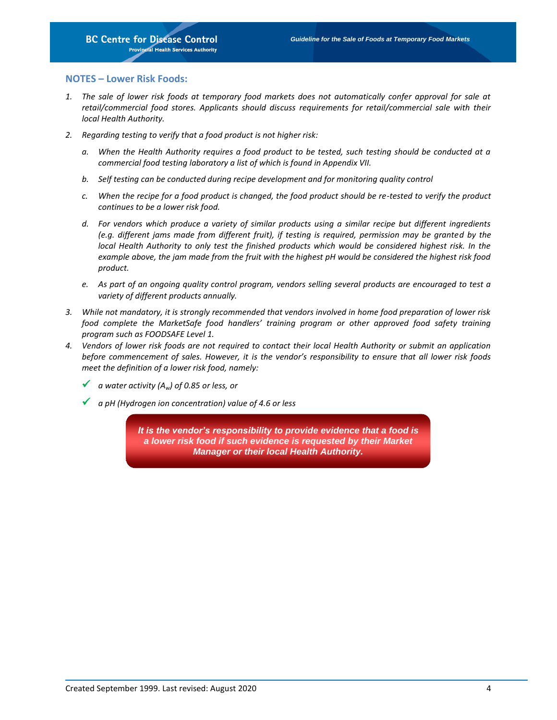### **NOTES – Lower Risk Foods:**

- 1. The sale of lower risk foods at temporary food markets does not automatically confer approval for sale at *retail/commercial food stores. Applicants should discuss requirements for retail/commercial sale with their local Health Authority.*
- *2. Regarding testing to verify that a food product is not higher risk:*
	- *a. When the Health Authority requires a food product to be tested, such testing should be conducted at a commercial food testing laboratory a list of which is found in Appendix VII.*
	- *b. Self testing can be conducted during recipe development and for monitoring quality control*
	- *c. When the recipe for a food product is changed, the food product should be re-tested to verify the product continues to be a lower risk food.*
	- *d. For vendors which produce a variety of similar products using a similar recipe but different ingredients (e.g. different jams made from different fruit), if testing is required, permission may be granted by the local Health Authority to only test the finished products which would be considered highest risk. In the example above, the jam made from the fruit with the highest pH would be considered the highest risk food product.*
	- *e. As part of an ongoing quality control program, vendors selling several products are encouraged to test a variety of different products annually.*
- *3. While not mandatory, it is strongly recommended that vendors involved in home food preparation of lower risk food complete the MarketSafe food handlers' training program or other approved food safety training program such as FOODSAFE Level 1.*
- *4. Vendors of lower risk foods are not required to contact their local Health Authority or submit an application before commencement of sales. However, it is the vendor's responsibility to ensure that all lower risk foods meet the definition of a lower risk food, namely:*
	- *a water activity (Aw) of 0.85 or less, or*
	- *a pH (Hydrogen ion concentration) value of 4.6 or less*

*It is the vendor's responsibility to provide evidence that a food is a lower risk food if such evidence is requested by their Market Manager or their local Health Authority.*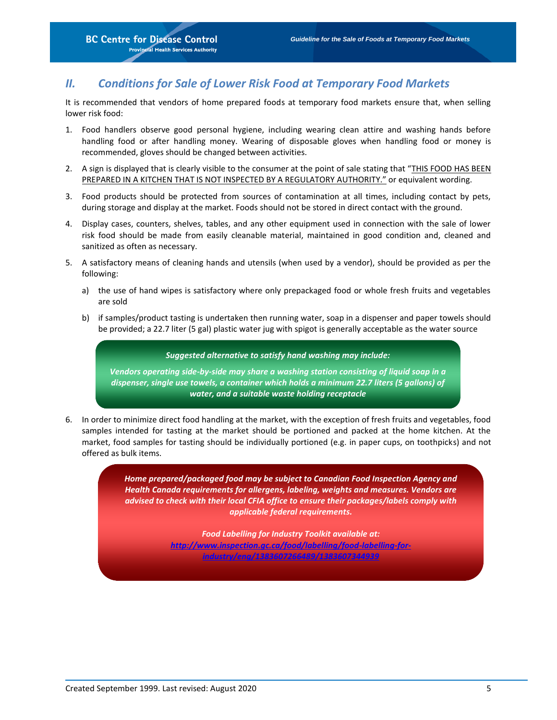### <span id="page-6-0"></span>*II. Conditions for Sale of Lower Risk Food at Temporary Food Markets*

It is recommended that vendors of home prepared foods at temporary food markets ensure that, when selling lower risk food:

- 1. Food handlers observe good personal hygiene, including wearing clean attire and washing hands before handling food or after handling money. Wearing of disposable gloves when handling food or money is recommended, gloves should be changed between activities.
- 2. A sign is displayed that is clearly visible to the consumer at the point of sale stating that "THIS FOOD HAS BEEN PREPARED IN A KITCHEN THAT IS NOT INSPECTED BY A REGULATORY AUTHORITY." or equivalent wording.
- 3. Food products should be protected from sources of contamination at all times, including contact by pets, during storage and display at the market. Foods should not be stored in direct contact with the ground.
- 4. Display cases, counters, shelves, tables, and any other equipment used in connection with the sale of lower risk food should be made from easily cleanable material, maintained in good condition and, cleaned and sanitized as often as necessary.
- 5. A satisfactory means of cleaning hands and utensils (when used by a vendor), should be provided as per the following:
	- a) the use of hand wipes is satisfactory where only prepackaged food or whole fresh fruits and vegetables are sold
	- b) if samples/product tasting is undertaken then running water, soap in a dispenser and paper towels should be provided; a 22.7 liter (5 gal) plastic water jug with spigot is generally acceptable as the water source

*Suggested alternative to satisfy hand washing may include:*

*Vendors operating side-by-side may share a washing station consisting of liquid soap in a dispenser, single use towels, a container which holds a minimum 22.7 liters (5 gallons) of water, and a suitable waste holding receptacle*

6. In order to minimize direct food handling at the market, with the exception of fresh fruits and vegetables, food samples intended for tasting at the market should be portioned and packed at the home kitchen. At the market, food samples for tasting should be individually portioned (e.g. in paper cups, on toothpicks) and not offered as bulk items.

> *Home prepared/packaged food may be subject to Canadian Food Inspection Agency and Health Canada requirements for allergens, labeling, weights and measures. Vendors are advised to check with their local CFIA office to ensure their packages/labels comply with applicable federal requirements.*

> > *Food Labelling for Industry Toolkit available at: [http://www.inspection.gc.ca/food/labelling/food-labelling-for](http://www.inspection.gc.ca/food/labelling/food-labelling-for-industry/eng/1383607266489/1383607344939)[industry/eng/1383607266489/1383607344939](http://www.inspection.gc.ca/food/labelling/food-labelling-for-industry/eng/1383607266489/1383607344939)*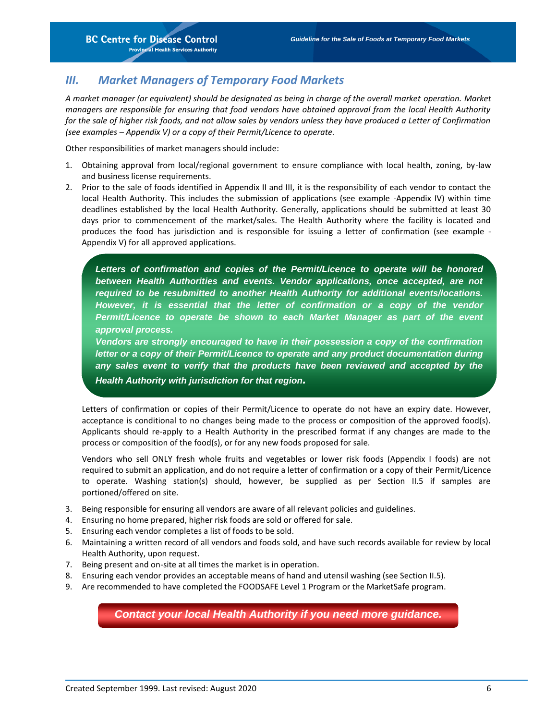### <span id="page-7-0"></span>*III. Market Managers of Temporary Food Markets*

*A market manager (or equivalent) should be designated as being in charge of the overall market operation. Market managers are responsible for ensuring that food vendors have obtained approval from the local Health Authority for the sale of higher risk foods, and not allow sales by vendors unless they have produced a Letter of Confirmation (see examples – Appendix V) or a copy of their Permit/Licence to operate.* 

Other responsibilities of market managers should include:

- 1. Obtaining approval from local/regional government to ensure compliance with local health, zoning, by-law and business license requirements.
- 2. Prior to the sale of foods identified in Appendix II and III, it is the responsibility of each vendor to contact the local Health Authority. This includes the submission of applications (see example -Appendix IV) within time deadlines established by the local Health Authority. Generally, applications should be submitted at least 30 days prior to commencement of the market/sales. The Health Authority where the facility is located and produces the food has jurisdiction and is responsible for issuing a letter of confirmation (see example - Appendix V) for all approved applications.

*Letters of confirmation and copies of the Permit/Licence to operate will be honored between Health Authorities and events. Vendor applications, once accepted, are not required to be resubmitted to another Health Authority for additional events/locations. However, it is essential that the letter of confirmation or a copy of the vendor Permit/Licence to operate be shown to each Market Manager as part of the event approval process.* 

*Vendors are strongly encouraged to have in their possession a copy of the confirmation letter or a copy of their Permit/Licence to operate and any product documentation during any sales event to verify that the products have been reviewed and accepted by the Health Authority with jurisdiction for that region.*

Letters of confirmation or copies of their Permit/Licence to operate do not have an expiry date. However, acceptance is conditional to no changes being made to the process or composition of the approved food(s). Applicants should re-apply to a Health Authority in the prescribed format if any changes are made to the process or composition of the food(s), or for any new foods proposed for sale.

Vendors who sell ONLY fresh whole fruits and vegetables or lower risk foods (Appendix I foods) are not required to submit an application, and do not require a letter of confirmation or a copy of their Permit/Licence to operate. Washing station(s) should, however, be supplied as per Section II.5 if samples are portioned/offered on site.

- 3. Being responsible for ensuring all vendors are aware of all relevant policies and guidelines.
- 4. Ensuring no home prepared, higher risk foods are sold or offered for sale.
- 5. Ensuring each vendor completes a list of foods to be sold.
- 6. Maintaining a written record of all vendors and foods sold, and have such records available for review by local Health Authority, upon request.
- 7. Being present and on-site at all times the market is in operation.
- 8. Ensuring each vendor provides an acceptable means of hand and utensil washing (see Section II.5).
- 9. Are recommended to have completed the FOODSAFE Level 1 Program or the MarketSafe program.

*Contact your local Health Authority if you need more guidance.*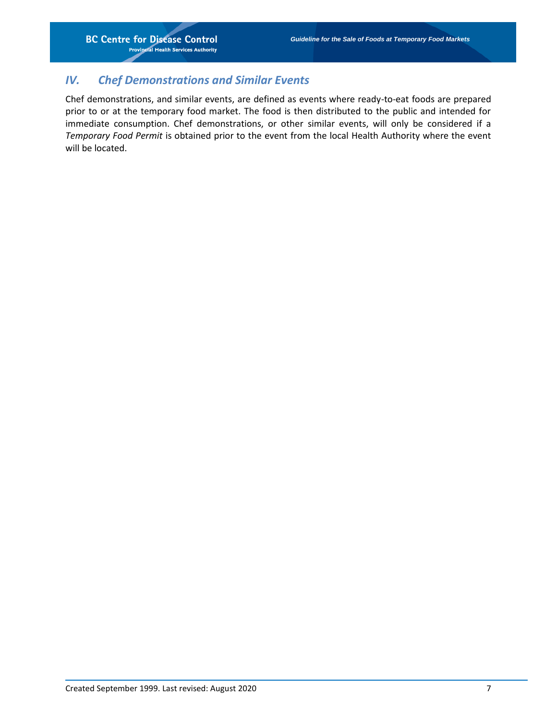### <span id="page-8-0"></span>*IV. Chef Demonstrations and Similar Events*

Chef demonstrations, and similar events, are defined as events where ready-to-eat foods are prepared prior to or at the temporary food market. The food is then distributed to the public and intended for immediate consumption. Chef demonstrations, or other similar events, will only be considered if a *Temporary Food Permit* is obtained prior to the event from the local Health Authority where the event will be located.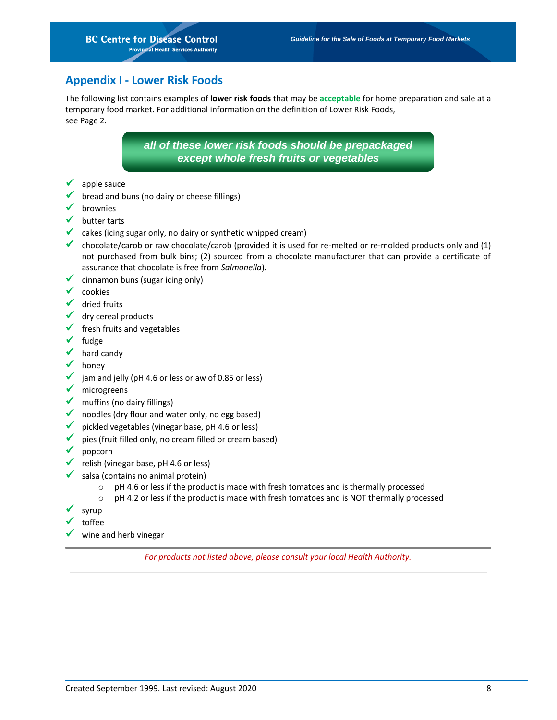### <span id="page-9-0"></span>**Appendix I - Lower Risk Foods**

The following list contains examples of **lower risk foods** that may be **acceptable** for home preparation and sale at a temporary food market. For additional information on the definition of Lower Risk Foods, see Page 2.

> *all of these lower risk foods should be prepackaged except whole fresh fruits or vegetables*

- $\checkmark$  apple sauce
- bread and buns (no dairy or cheese fillings)
- $\checkmark$  brownies
- $\checkmark$  butter tarts
- $\checkmark$  cakes (icing sugar only, no dairy or synthetic whipped cream)
- chocolate/carob or raw chocolate/carob (provided it is used for re-melted or re-molded products only and  $(1)$ not purchased from bulk bins; (2) sourced from a chocolate manufacturer that can provide a certificate of assurance that chocolate is free from *Salmonella*)*.*
- $\checkmark$  cinnamon buns (sugar icing only)
- $\checkmark$  cookies
- $\checkmark$  dried fruits
- $\checkmark$  dry cereal products
- $\checkmark$  fresh fruits and vegetables
- $\checkmark$  fudge
- $\sqrt{\phantom{a}}$  hard candy
- honey
- $\checkmark$  jam and jelly (pH 4.6 or less or aw of 0.85 or less)
- $\checkmark$  microgreens
- $\checkmark$  muffins (no dairy fillings)
- $\checkmark$  noodles (dry flour and water only, no egg based)
- $\checkmark$  pickled vegetables (vinegar base, pH 4.6 or less)
- $\checkmark$  pies (fruit filled only, no cream filled or cream based)
- $\checkmark$  popcorn
- $\checkmark$  relish (vinegar base, pH 4.6 or less)
	- salsa (contains no animal protein)
		- $\circ$  pH 4.6 or less if the product is made with fresh tomatoes and is thermally processed
		- o pH 4.2 or less if the product is made with fresh tomatoes and is NOT thermally processed
- syrup
- toffee
- <span id="page-9-1"></span> $\checkmark$  wine and herb vinegar

*For products not listed above, please consult your local Health Authority.*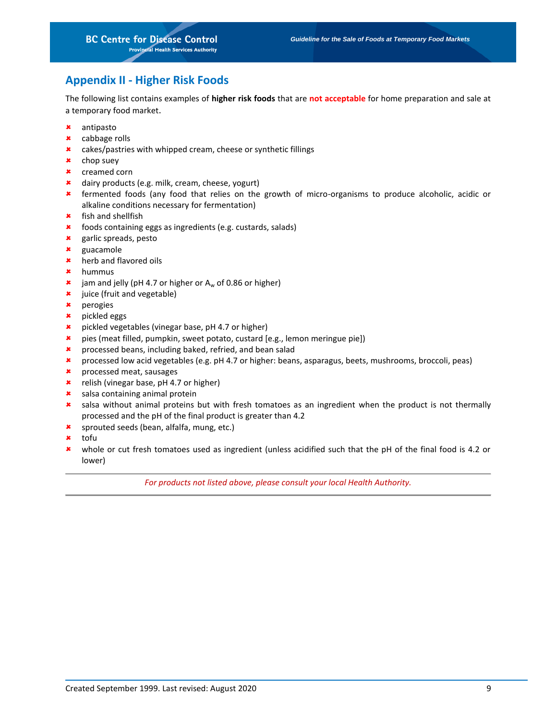### **Appendix II - Higher Risk Foods**

The following list contains examples of **higher risk foods** that are **not acceptable** for home preparation and sale at a temporary food market.

- antipasto
- cabbage rolls
- cakes/pastries with whipped cream, cheese or synthetic fillings
- chop suey
- creamed corn
- dairy products (e.g. milk, cream, cheese, yogurt)
- \* fermented foods (any food that relies on the growth of micro-organisms to produce alcoholic, acidic or alkaline conditions necessary for fermentation)
- fish and shellfish
- **\*** foods containing eggs as ingredients (e.g. custards, salads)
- garlic spreads, pesto
- guacamole
- **\*** herb and flavored oils
- hummus
- **\*** jam and jelly (pH 4.7 or higher or  $A_w$  of 0.86 or higher)
- **\*** juice (fruit and vegetable)
- perogies
- pickled eggs
- pickled vegetables (vinegar base, pH 4.7 or higher)
- pies (meat filled, pumpkin, sweet potato, custard [e.g., lemon meringue pie])
- **\*** processed beans, including baked, refried, and bean salad
- processed low acid vegetables (e.g. pH 4.7 or higher: beans, asparagus, beets, mushrooms, broccoli, peas)
- processed meat, sausages
- **\*** relish (vinegar base, pH 4.7 or higher)
- \* salsa containing animal protein
- salsa without animal proteins but with fresh tomatoes as an ingredient when the product is not thermally processed and the pH of the final product is greater than 4.2
- **\*** sprouted seeds (bean, alfalfa, mung, etc.)
- **\*** tofu
- whole or cut fresh tomatoes used as ingredient (unless acidified such that the pH of the final food is 4.2 or lower)

*For products not listed above, please consult your local Health Authority.*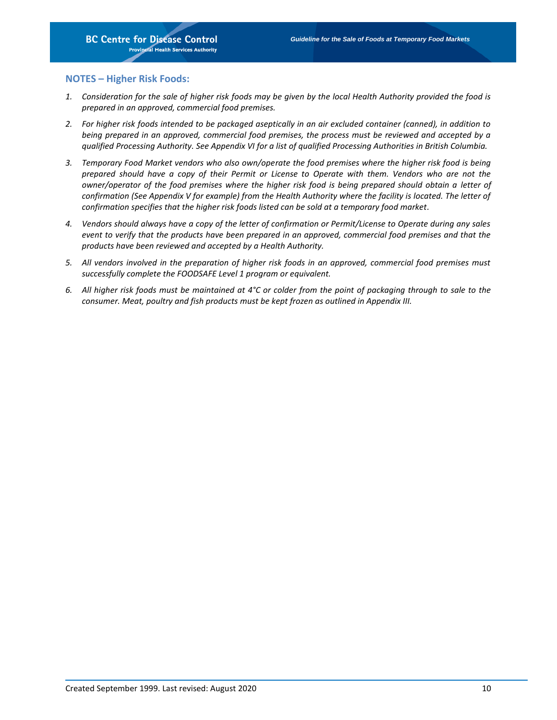### **NOTES – Higher Risk Foods:**

- *1. Consideration for the sale of higher risk foods may be given by the local Health Authority provided the food is prepared in an approved, commercial food premises.*
- *2. For higher risk foods intended to be packaged aseptically in an air excluded container (canned), in addition to being prepared in an approved, commercial food premises, the process must be reviewed and accepted by a qualified Processing Authority. See Appendix VI for a list of qualified Processing Authorities in British Columbia.*
- *3. Temporary Food Market vendors who also own/operate the food premises where the higher risk food is being prepared should have a copy of their Permit or License to Operate with them. Vendors who are not the owner/operator of the food premises where the higher risk food is being prepared should obtain a letter of*  confirmation (See Appendix V for example) from the Health Authority where the facility is located. The letter of *confirmation specifies that the higher risk foods listed can be sold at a temporary food market.*
- *4. Vendors should always have a copy of the letter of confirmation or Permit/License to Operate during any sales event to verify that the products have been prepared in an approved, commercial food premises and that the products have been reviewed and accepted by a Health Authority.*
- *5. All vendors involved in the preparation of higher risk foods in an approved, commercial food premises must successfully complete the FOODSAFE Level 1 program or equivalent.*
- *6. All higher risk foods must be maintained at 4°C or colder from the point of packaging through to sale to the consumer. Meat, poultry and fish products must be kept frozen as outlined in Appendix III.*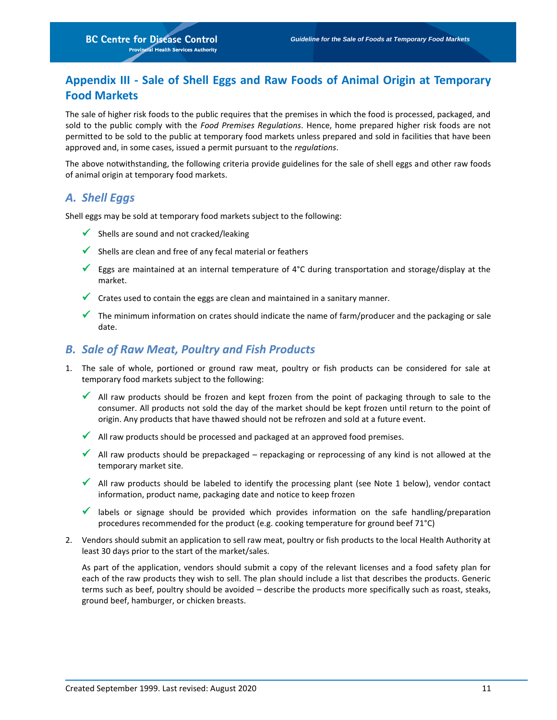# <span id="page-12-0"></span>**Appendix III - Sale of Shell Eggs and Raw Foods of Animal Origin at Temporary Food Markets**

The sale of higher risk foods to the public requires that the premises in which the food is processed, packaged, and sold to the public comply with the *Food Premises Regulations*. Hence, home prepared higher risk foods are not permitted to be sold to the public at temporary food markets unless prepared and sold in facilities that have been approved and, in some cases, issued a permit pursuant to the *regulations*.

The above notwithstanding, the following criteria provide guidelines for the sale of shell eggs and other raw foods of animal origin at temporary food markets.

### <span id="page-12-1"></span>*A. Shell Eggs*

Shell eggs may be sold at temporary food markets subject to the following:

- $\checkmark$  Shells are sound and not cracked/leaking
- $\checkmark$  Shells are clean and free of any fecal material or feathers
- Eggs are maintained at an internal temperature of 4°C during transportation and storage/display at the market.
- $\checkmark$  Crates used to contain the eggs are clean and maintained in a sanitary manner.
- The minimum information on crates should indicate the name of farm/producer and the packaging or sale date.

### <span id="page-12-2"></span>*B. Sale of Raw Meat, Poultry and Fish Products*

- 1. The sale of whole, portioned or ground raw meat, poultry or fish products can be considered for sale at temporary food markets subject to the following:
	- All raw products should be frozen and kept frozen from the point of packaging through to sale to the consumer. All products not sold the day of the market should be kept frozen until return to the point of origin. Any products that have thawed should not be refrozen and sold at a future event.
	- $\checkmark$  All raw products should be processed and packaged at an approved food premises.
	- All raw products should be prepackaged repackaging or reprocessing of any kind is not allowed at the temporary market site.
	- All raw products should be labeled to identify the processing plant (see Note 1 below), vendor contact information, product name, packaging date and notice to keep frozen
	- **V** labels or signage should be provided which provides information on the safe handling/preparation procedures recommended for the product (e.g. cooking temperature for ground beef 71°C)
- 2. Vendors should submit an application to sell raw meat, poultry or fish products to the local Health Authority at least 30 days prior to the start of the market/sales.

As part of the application, vendors should submit a copy of the relevant licenses and a food safety plan for each of the raw products they wish to sell. The plan should include a list that describes the products. Generic terms such as beef, poultry should be avoided – describe the products more specifically such as roast, steaks, ground beef, hamburger, or chicken breasts.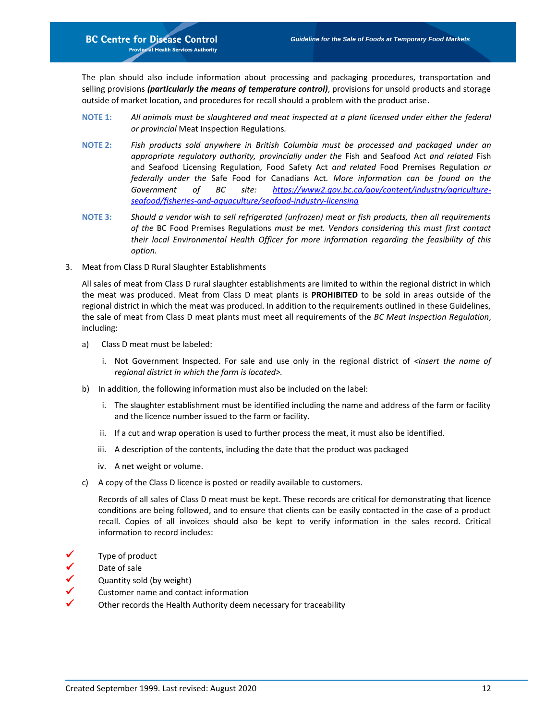The plan should also include information about processing and packaging procedures, transportation and selling provisions *(particularly the means of temperature control)*, provisions for unsold products and storage outside of market location, and procedures for recall should a problem with the product arise.

- **NOTE 1:** *All animals must be slaughtered and meat inspected at a plant licensed under either the federal or provincial* Meat Inspection Regulations*.*
- **NOTE 2:** *Fish products sold anywhere in British Columbia must be processed and packaged under an appropriate regulatory authority, provincially under the* Fish and Seafood Act *and related* Fish and Seafood Licensing Regulation*,* Food Safety Act *and related* Food Premises Regulation *or federally under the* Safe Food for Canadians Act*. More information can be found on the Government of BC site: [https://www2.gov.bc.ca/gov/content/industry/agriculture](https://www2.gov.bc.ca/gov/content/industry/agriculture-seafood/fisheries-and-aquaculture/seafood-industry-licensing)[seafood/fisheries-and-aquaculture/seafood-industry-licensing](https://www2.gov.bc.ca/gov/content/industry/agriculture-seafood/fisheries-and-aquaculture/seafood-industry-licensing)*
- **NOTE 3:** *Should a vendor wish to sell refrigerated (unfrozen) meat or fish products, then all requirements of the* BC Food Premises Regulations *must be met. Vendors considering this must first contact their local Environmental Health Officer for more information regarding the feasibility of this option.*
- 3. Meat from Class D Rural Slaughter Establishments

All sales of meat from Class D rural slaughter establishments are limited to within the regional district in which the meat was produced. Meat from Class D meat plants is **PROHIBITED** to be sold in areas outside of the regional district in which the meat was produced. In addition to the requirements outlined in these Guidelines, the sale of meat from Class D meat plants must meet all requirements of the *BC Meat Inspection Regulation*, including:

- a) Class D meat must be labeled:
	- i. Not Government Inspected. For sale and use only in the regional district of *<insert the name of regional district in which the farm is located>.*
- b) In addition, the following information must also be included on the label:
	- i. The slaughter establishment must be identified including the name and address of the farm or facility and the licence number issued to the farm or facility.
	- ii. If a cut and wrap operation is used to further process the meat, it must also be identified.
	- iii. A description of the contents, including the date that the product was packaged
	- iv. A net weight or volume.
- c) A copy of the Class D licence is posted or readily available to customers.

Records of all sales of Class D meat must be kept. These records are critical for demonstrating that licence conditions are being followed, and to ensure that clients can be easily contacted in the case of a product recall. Copies of all invoices should also be kept to verify information in the sales record. Critical information to record includes:

- Type of product
- Date of sale
- $\checkmark$  Quantity sold (by weight)<br> $\checkmark$  Customer name and contain-
- Customer name and contact information
- Other records the Health Authority deem necessary for traceability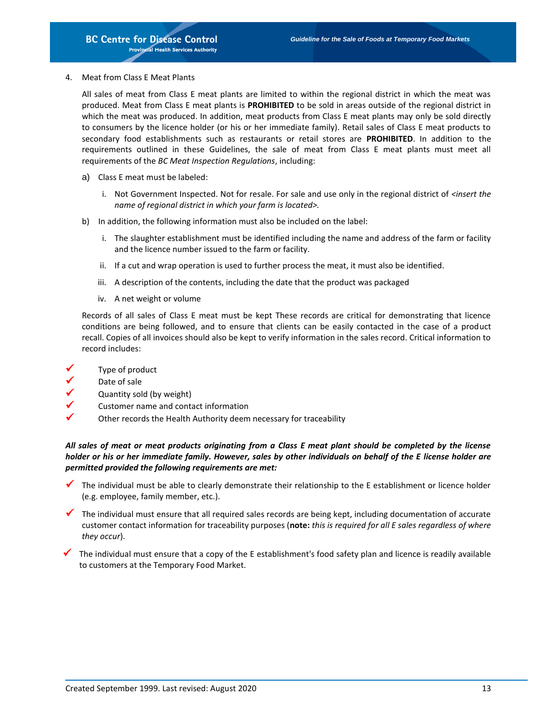4. Meat from Class E Meat Plants

All sales of meat from Class E meat plants are limited to within the regional district in which the meat was produced. Meat from Class E meat plants is **PROHIBITED** to be sold in areas outside of the regional district in which the meat was produced. In addition, meat products from Class E meat plants may only be sold directly to consumers by the licence holder (or his or her immediate family). Retail sales of Class E meat products to secondary food establishments such as restaurants or retail stores are **PROHIBITED**. In addition to the requirements outlined in these Guidelines, the sale of meat from Class E meat plants must meet all requirements of the *BC Meat Inspection Regulations*, including:

- a) Class E meat must be labeled:
	- i. Not Government Inspected. Not for resale. For sale and use only in the regional district of *<insert the name of regional district in which your farm is located>.*
- b) In addition, the following information must also be included on the label:
	- i. The slaughter establishment must be identified including the name and address of the farm or facility and the licence number issued to the farm or facility.
	- ii. If a cut and wrap operation is used to further process the meat, it must also be identified.
	- iii. A description of the contents, including the date that the product was packaged
	- iv. A net weight or volume

Records of all sales of Class E meat must be kept These records are critical for demonstrating that licence conditions are being followed, and to ensure that clients can be easily contacted in the case of a product recall. Copies of all invoices should also be kept to verify information in the sales record. Critical information to record includes:

- Type of product
- Date of sale
- Quantity sold (by weight)
- Customer name and contact information
- Other records the Health Authority deem necessary for traceability

*All sales of meat or meat products originating from a Class E meat plant should be completed by the license holder or his or her immediate family. However, sales by other individuals on behalf of the E license holder are permitted provided the following requirements are met:*

- The individual must be able to clearly demonstrate their relationship to the E establishment or licence holder (e.g. employee, family member, etc.).
- The individual must ensure that all required sales records are being kept, including documentation of accurate customer contact information for traceability purposes (**note:** *this is required for all E sales regardless of where they occur*).
- The individual must ensure that a copy of the E establishment's food safety plan and licence is readily available to customers at the Temporary Food Market.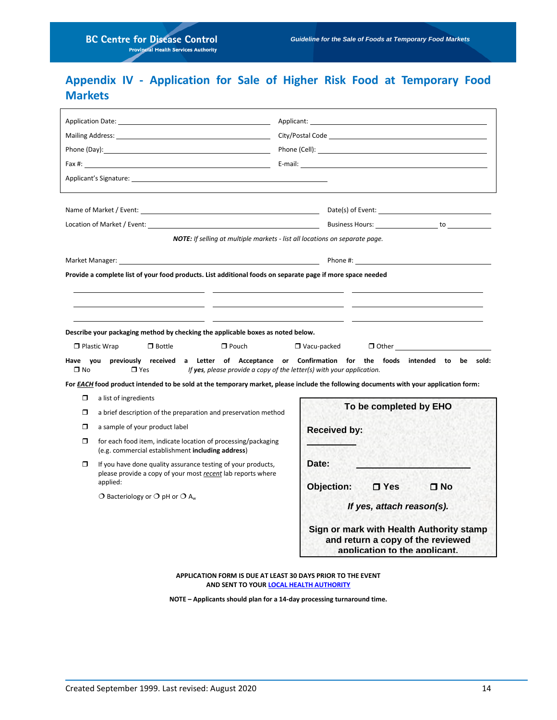# <span id="page-15-0"></span>**Appendix IV - Application for Sale of Higher Risk Food at Temporary Food Markets**

| Application Date: the contract of the contract of the contract of the contract of the contract of the contract of the contract of the contract of the contract of the contract of the contract of the contract of the contract<br>Fax #: E-mail: E-mail: E-mail: E-mail: E-mail: E-mail: E-mail: E-mail: E-mail: E-mail: E-mail: E-mail: E-mail: E-mail: E-mail: E-mail: E-mail: E-mail: E-mail: E-mail: E-mail: E-mail: E-mail: E-mail: E-mail: E-mail: E-mail:<br>Applicant's Signature: Application of the state of the state of the state of the state of the state of the state of the state of the state of the state of the state of the state of the state of the state of the state of th                                                                                                                                                                                                                                                                                                                                                                                                                                                                                                                                                                                                                                                                                                                                                          |                                                                                                                                                                                                                  | Location of Market / Event: The Communication of Market / Event: The Communication of Market / Event: The Communication of Market / Event: The Communication of Market / Event: The Communication of Market / Event: The Commu |  |
|-------------------------------------------------------------------------------------------------------------------------------------------------------------------------------------------------------------------------------------------------------------------------------------------------------------------------------------------------------------------------------------------------------------------------------------------------------------------------------------------------------------------------------------------------------------------------------------------------------------------------------------------------------------------------------------------------------------------------------------------------------------------------------------------------------------------------------------------------------------------------------------------------------------------------------------------------------------------------------------------------------------------------------------------------------------------------------------------------------------------------------------------------------------------------------------------------------------------------------------------------------------------------------------------------------------------------------------------------------------------------------------------------------------------------------------------------------------|------------------------------------------------------------------------------------------------------------------------------------------------------------------------------------------------------------------|--------------------------------------------------------------------------------------------------------------------------------------------------------------------------------------------------------------------------------|--|
| <b>NOTE:</b> If selling at multiple markets - list all locations on separate page.                                                                                                                                                                                                                                                                                                                                                                                                                                                                                                                                                                                                                                                                                                                                                                                                                                                                                                                                                                                                                                                                                                                                                                                                                                                                                                                                                                          |                                                                                                                                                                                                                  |                                                                                                                                                                                                                                |  |
| Phone #: the state of the state of the state of the state of the state of the state of the state of the state of the state of the state of the state of the state of the state of the state of the state of the state of the s<br>Market Manager: National Accounts and the contract of the contract of the contract of the contract of the contract of the contract of the contract of the contract of the contract of the contract of the contract of the cont<br>Provide a complete list of your food products. List additional foods on separate page if more space needed<br>Describe your packaging method by checking the applicable boxes as noted below.<br>$\Box$ Pouch<br>$\Box$ Plastic Wrap<br>$\Box$ Bottle<br>$\Box$ Vacu-packed<br>$\Box$ Other<br>Have you previously received a Letter of Acceptance or Confirmation for the foods intended to be sold:<br>$\square$ No<br>$\Box$ Yes<br>If yes, please provide a copy of the letter(s) with your application.<br>For EACH food product intended to be sold at the temporary market, please include the following documents with your application form:<br>$\Box$<br>a list of ingredients<br>To be completed by EHO<br>Π<br>a brief description of the preparation and preservation method<br>α<br>a sample of your product label<br><b>Received by:</b><br>$\Box$<br>for each food item, indicate location of processing/packaging<br>(e.g. commercial establishment including address) |                                                                                                                                                                                                                  |                                                                                                                                                                                                                                |  |
| $\Box$                                                                                                                                                                                                                                                                                                                                                                                                                                                                                                                                                                                                                                                                                                                                                                                                                                                                                                                                                                                                                                                                                                                                                                                                                                                                                                                                                                                                                                                      | If you have done quality assurance testing of your products,<br>please provide a copy of your most recent lab reports where<br>applied:<br>$\bigcirc$ Bacteriology or $\bigcirc$ pH or $\bigcirc$ A <sub>w</sub> | Date:<br>Objection:<br><b>□ Yes</b><br>□ No<br>If yes, attach reason(s).<br>Sign or mark with Health Authority stamp<br>and return a copy of the reviewed<br>application to the applicant.                                     |  |

**APPLICATION FORM IS DUE AT LEAST 30 DAYS PRIOR TO THE EVENT AND SENT TO YOU[R LOCAL HEALTH AUTHORITY](http://www2.gov.bc.ca/gov/content/health/about-bc-s-health-care-system/partners/health-authorities/regional-health-authorities)**

**NOTE – Applicants should plan for a 14-day processing turnaround time.**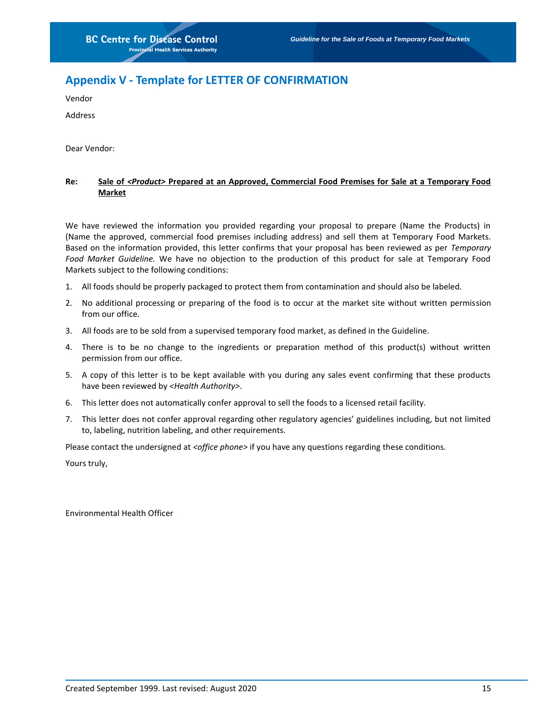## <span id="page-16-0"></span>**Appendix V - Template for LETTER OF CONFIRMATION**

Vendor

Address

Dear Vendor:

### **Re: Sale of** *<Product>* **Prepared at an Approved, Commercial Food Premises for Sale at a Temporary Food Market**

We have reviewed the information you provided regarding your proposal to prepare (Name the Products) in (Name the approved, commercial food premises including address) and sell them at Temporary Food Markets. Based on the information provided, this letter confirms that your proposal has been reviewed as per *Temporary Food Market Guideline.* We have no objection to the production of this product for sale at Temporary Food Markets subject to the following conditions:

- 1. All foods should be properly packaged to protect them from contamination and should also be labeled.
- 2. No additional processing or preparing of the food is to occur at the market site without written permission from our office.
- 3. All foods are to be sold from a supervised temporary food market, as defined in the Guideline.
- 4. There is to be no change to the ingredients or preparation method of this product(s) without written permission from our office.
- 5. A copy of this letter is to be kept available with you during any sales event confirming that these products have been reviewed by *<Health Authority>*.
- 6. This letter does not automatically confer approval to sell the foods to a licensed retail facility.
- 7. This letter does not confer approval regarding other regulatory agencies' guidelines including, but not limited to, labeling, nutrition labeling, and other requirements.

Please contact the undersigned at *<office phone>* if you have any questions regarding these conditions.

Yours truly,

Environmental Health Officer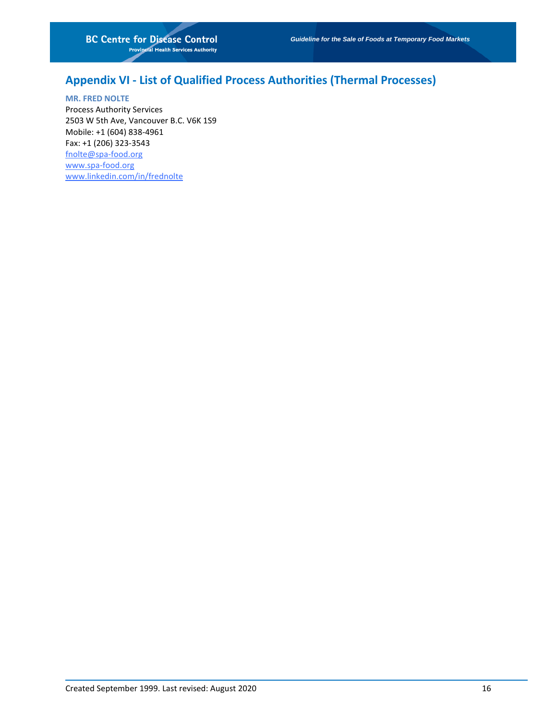## <span id="page-17-0"></span>**Appendix VI - List of Qualified Process Authorities (Thermal Processes)**

**MR. FRED NOLTE** Process Authority Services 2503 W 5th Ave, Vancouver B.C. V6K 1S9 Mobile: +1 (604) 838-4961 Fax: +1 (206) 323-3543 [fnolte@spa-food.org](mailto:fnolte@spa-food.org) [www.spa-food.org](http://www.spa-food.org/) [www.linkedin.com/in/frednolte](http://www.linkedin.com/in/frednolte)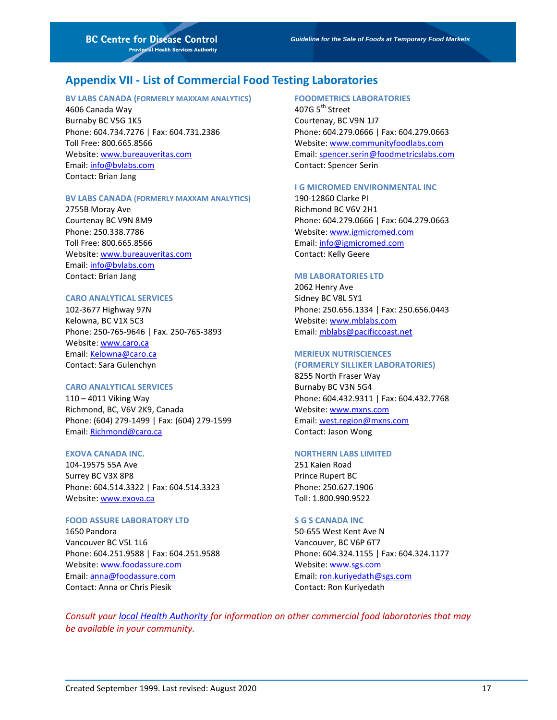### <span id="page-18-0"></span>**Appendix VII - List of Commercial Food Testing Laboratories**

#### **BV LABS CANADA (FORMERLY MAXXAM ANALYTICS)**

4606 Canada Way Burnaby BC V5G 1K5 Phone: 604.734.7276 | Fax: 604.731.2386 Toll Free: 800.665.8566 Website[: www.bureauveritas.com](http://www.bureauveritas.com/) Email: [info@bvlabs.com](mailto:info@bvlabs.com) Contact: Brian Jang

#### **BV LABS CANADA (FORMERLY MAXXAM ANALYTICS)**

2755B Moray Ave Courtenay BC V9N 8M9 Phone: 250.338.7786 Toll Free: 800.665.8566 Website[: www.bureauveritas.com](http://www.bureauveritas.com/) Email: [info@bvlabs.com](mailto:info@bvlabs.com) Contact: Brian Jang

#### **CARO ANALYTICAL SERVICES**

102-3677 Highway 97N Kelowna, BC V1X 5C3 Phone: 250-765-9646 | Fax. 250-765-3893 Website[: www.caro.ca](http://www.caro.ca/) Email: [Kelowna@caro.ca](mailto:Kelowna@caro.ca) Contact: Sara Gulenchyn

#### **CARO ANALYTICAL SERVICES**

110 – 4011 Viking Way Richmond, BC, V6V 2K9, Canada Phone: (604) 279-1499 | Fax: (604) 279-1599 Email: [Richmond@caro.ca](mailto:Richmond@caro.ca)

#### **EXOVA CANADA INC.**

104-19575 55A Ave Surrey BC V3X 8P8 Phone: 604.514.3322 | Fax: 604.514.3323 Website[: www.exova.ca](http://www.exova.ca/)

#### **FOOD ASSURE LABORATORY LTD**

1650 Pandora Vancouver BC V5L 1L6 Phone: 604.251.9588 | Fax: 604.251.9588 Website[: www.foodassure.com](file://///srvnetapp02/bccdc/Depts/RPS/RPS/AA-NEW%20DRIVE/FPS/Food%20and%20Fresh%20Fruit%20Vegetables/Food%20Guidelines/www.foodassure.com) Email: [anna@foodassure.com](mailto:anna@foodassure.com) Contact: Anna or Chris Piesik

#### **FOODMETRICS LABORATORIES**

407G  $5^{\text{th}}$  Street Courtenay, BC V9N 1J7 Phone: 604.279.0666 | Fax: 604.279.0663 Website[: www.communityfoodlabs.com](http://www.communityfoodlabs.com/) Email: [spencer.serin@foodmetricslabs.com](mailto:spencer.serin@foodmetricslabs.com) Contact: Spencer Serin

#### **I G MICROMED ENVIRONMENTAL INC**

190-12860 Clarke PI Richmond BC V6V 2H1 Phone: 604.279.0666 | Fax: 604.279.0663 Website[: www.igmicromed.com](http://www.igmicromed.com/) Email: [info@igmicromed.com](mailto:info@igmicromed.com) Contact: Kelly Geere

### **MB LABORATORIES LTD**

2062 Henry Ave Sidney BC V8L 5Y1 Phone: 250.656.1334 | Fax: 250.656.0443 Website[: www.mblabs.com](file://///srvnetapp02/bccdc/Depts/RPS/RPS/AA-NEW%20DRIVE/FPS/Food%20and%20Fresh%20Fruit%20Vegetables/Food%20Guidelines/www.mblabs.com) Email: [mblabs@pacificcoast.net](mailto:mblabs@pacificcoast.net)

#### **MERIEUX NUTRISCIENCES**

**(FORMERLY SILLIKER LABORATORIES)**  8255 North Fraser Way Burnaby BC V3N 5G4 Phone: 604.432.9311 | Fax: 604.432.7768 Website[: www.mxns.com](http://www.mxns.com/) Email: [west.region@mxns.com](mailto:west.region@mxns.com)

Contact: Jason Wong

#### **NORTHERN LABS LIMITED**

251 Kaien Road Prince Rupert BC Phone: 250.627.1906 Toll: 1.800.990.9522

#### **S G S CANADA INC**

50-655 West Kent Ave N Vancouver, BC V6P 6T7 Phone: 604.324.1155 | Fax: 604.324.1177 Website[: www.sgs.com](file://///srvnetapp02/bccdc/Depts/RPS/RPS/AA-NEW%20DRIVE/FPS/Food%20and%20Fresh%20Fruit%20Vegetables/Food%20Guidelines/www.sgs.com) Email: [ron.kuriyedath@sgs.com](mailto:ron.kuriyedath@sgs.com) Contact: Ron Kuriyedath

*Consult your [local Health Authority](http://www2.gov.bc.ca/gov/content/health/about-bc-s-health-care-system/partners/health-authorities/regional-health-authorities) for information on other commercial food laboratories that may be available in your community.*